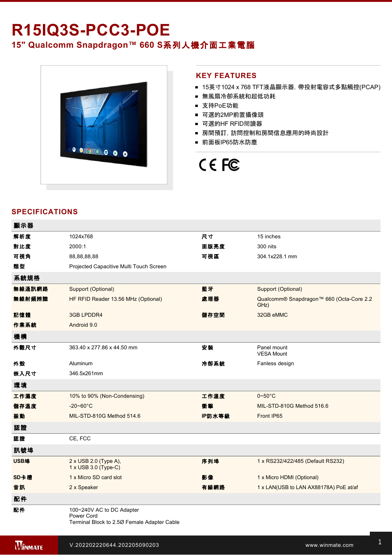# **R15IQ3S-PCC3-POE 15" Qualcomm Snapdragon™ 660 S**系列人機介面工業電腦



#### **KEY FEATURES**

- 15英寸1024 x 768 TFT液晶顯示器, 帶投射電容式多點觸控(PCAP)
- 無風扇冷卻系統和超低功耗
- 支持PoE功能
- 可選的2MP前置攝像頭
- 可選的HF RFID閱讀器
- 房間預訂,訪問控制和房間信息應用的時尚設計
- 前面板IP65防水防塵

# CE FC

## **SPECIFICATIONS**

| 顯示器    |                                                                                        |        |                                                  |
|--------|----------------------------------------------------------------------------------------|--------|--------------------------------------------------|
| 解析度    | 1024x768                                                                               | 尺寸     | 15 inches                                        |
| 對比度    | 2000:1                                                                                 | 面版亮度   | 300 nits                                         |
| 可視角    | 88,88,88,88                                                                            | 可視區    | 304.1x228.1 mm                                   |
| 類型     | Projected Capacitive Multi Touch Screen                                                |        |                                                  |
| 系統規格   |                                                                                        |        |                                                  |
| 無線通訊網路 | Support (Optional)                                                                     | 藍牙     | Support (Optional)                               |
| 無線射頻辨識 | HF RFID Reader 13.56 MHz (Optional)                                                    | 處理器    | Qualcomm® Snapdragon™ 660 (Octa-Core 2.2<br>GHz) |
| 記憶體    | 3GB LPDDR4                                                                             | 儲存空間   | 32GB eMMC                                        |
| 作業系統   | Android 9.0                                                                            |        |                                                  |
| 機構     |                                                                                        |        |                                                  |
| 外觀尺寸   | 363.40 x 277.86 x 44.50 mm                                                             | 安装     | Panel mount<br><b>VESA Mount</b>                 |
| 外殼     | Aluminum                                                                               | 冷卻系統   | Fanless design                                   |
| 嵌入尺寸   | 346.5x261mm                                                                            |        |                                                  |
| 環境     |                                                                                        |        |                                                  |
| 工作濕度   | 10% to 90% (Non-Condensing)                                                            | 工作溫度   | $0 - 50^{\circ}$ C                               |
| 儲存溫度   | $-20 - 60^{\circ}$ C                                                                   | 衝擊     | MIL-STD-810G Method 516.6                        |
| 振動     | MIL-STD-810G Method 514.6                                                              | IP防水等級 | Front IP65                                       |
| 認證     |                                                                                        |        |                                                  |
| 認證     | CE, FCC                                                                                |        |                                                  |
| 訊號埠    |                                                                                        |        |                                                  |
| USB埠   | 2 x USB 2.0 (Type A),<br>$1 \times$ USB 3.0 (Type-C)                                   | 序列埠    | 1 x RS232/422/485 (Default RS232)                |
| SD卡槽   | 1 x Micro SD card slot                                                                 | 影像     | 1 x Micro HDMI (Optional)                        |
| 音訊     | 2 x Speaker                                                                            | 有線網路   | 1 x LAN(USB to LAN AX88178A) PoE at/af           |
| 配件     |                                                                                        |        |                                                  |
| 配件     | 100~240V AC to DC Adapter<br>Power Cord<br>Terminal Block to 2.50 Female Adapter Cable |        |                                                  |

Manual